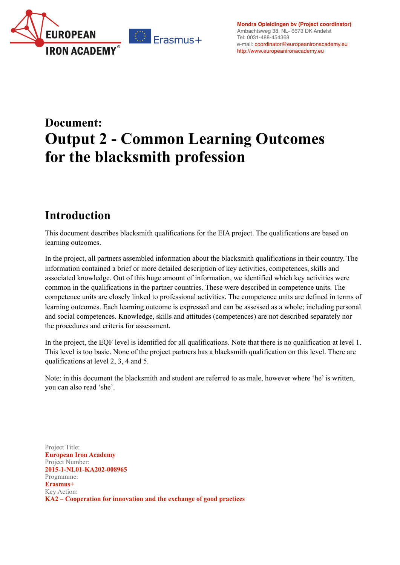

**[Mondra Opleidingen bv](http://europeanironacademy.eu/portfolio-item/mondra/) (Project coordinator)** Ambachtsweg 38, NL- 6673 DK Andelst Tel: 0031-488-454368 e-mail: [coordinator@europeanironacademy.eu](mailto:coordinator@europeanironacademy.eu) <http://www.europeanironacademy.eu>

# **Document: Output 2 - Common Learning Outcomes for the blacksmith profession**

## **Introduction**

This document describes blacksmith qualifications for the EIA project. The qualifications are based on learning outcomes.

In the project, all partners assembled information about the blacksmith qualifications in their country. The information contained a brief or more detailed description of key activities, competences, skills and associated knowledge. Out of this huge amount of information, we identified which key activities were common in the qualifications in the partner countries. These were described in competence units. The competence units are closely linked to professional activities. The competence units are defined in terms of learning outcomes. Each learning outcome is expressed and can be assessed as a whole; including personal and social competences. Knowledge, skills and attitudes (competences) are not described separately nor the procedures and criteria for assessment.

In the project, the EQF level is identified for all qualifications. Note that there is no qualification at level 1. This level is too basic. None of the project partners has a blacksmith qualification on this level. There are qualifications at level 2, 3, 4 and 5.

Note: in this document the blacksmith and student are referred to as male, however where 'he' is written, you can also read 'she'.

Project Title: **European Iron Academy** Project Number: **2015-1-NL01-KA202-008965**  Programme: **Erasmus+** Key Action: **KA2 – Cooperation for innovation and the exchange of good practices**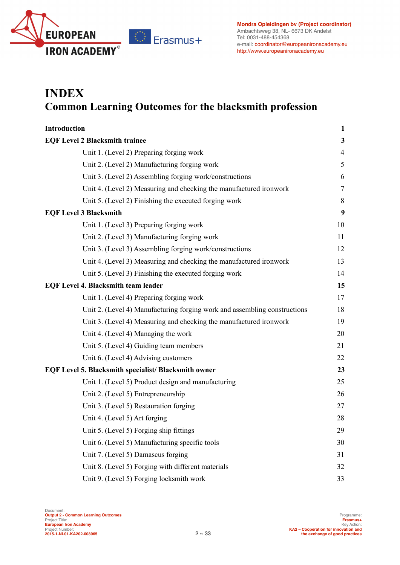

## **INDEX Common Learning Outcomes for the blacksmith profession**

| <b>Introduction</b>                                                       | 1              |
|---------------------------------------------------------------------------|----------------|
| <b>EQF Level 2 Blacksmith trainee</b>                                     | $\mathbf{3}$   |
| Unit 1. (Level 2) Preparing forging work                                  | $\overline{4}$ |
| Unit 2. (Level 2) Manufacturing forging work                              | 5              |
| Unit 3. (Level 2) Assembling forging work/constructions                   | 6              |
| Unit 4. (Level 2) Measuring and checking the manufactured ironwork        | 7              |
| Unit 5. (Level 2) Finishing the executed forging work                     | 8              |
| <b>EQF Level 3 Blacksmith</b>                                             | 9              |
| Unit 1. (Level 3) Preparing forging work                                  | 10             |
| Unit 2. (Level 3) Manufacturing forging work                              | 11             |
| Unit 3. (Level 3) Assembling forging work/constructions                   | 12             |
| Unit 4. (Level 3) Measuring and checking the manufactured ironwork        | 13             |
| Unit 5. (Level 3) Finishing the executed forging work                     | 14             |
| <b>EQF Level 4. Blacksmith team leader</b>                                | 15             |
| Unit 1. (Level 4) Preparing forging work                                  | 17             |
| Unit 2. (Level 4) Manufacturing forging work and assembling constructions | 18             |
| Unit 3. (Level 4) Measuring and checking the manufactured ironwork        | 19             |
| Unit 4. (Level 4) Managing the work                                       | 20             |
| Unit 5. (Level 4) Guiding team members                                    | 21             |
| Unit 6. (Level 4) Advising customers                                      | 22             |
| EQF Level 5. Blacksmith specialist/ Blacksmith owner                      | 23             |
| Unit 1. (Level 5) Product design and manufacturing                        | 25             |
| Unit 2. (Level 5) Entrepreneurship                                        | 26             |
| Unit 3. (Level 5) Restauration forging                                    | 27             |
| Unit 4. (Level 5) Art forging                                             | 28             |
| Unit 5. (Level 5) Forging ship fittings                                   | 29             |
| Unit 6. (Level 5) Manufacturing specific tools                            | 30             |
| Unit 7. (Level 5) Damascus forging                                        | 31             |
| Unit 8. (Level 5) Forging with different materials                        | 32             |
| Unit 9. (Level 5) Forging locksmith work                                  | 33             |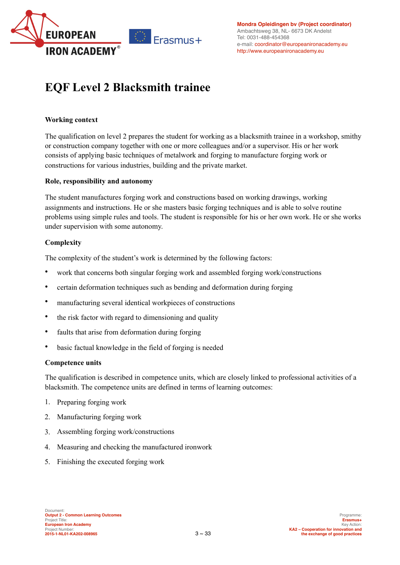

## **EQF Level 2 Blacksmith trainee**

### **Working context**

The qualification on level 2 prepares the student for working as a blacksmith trainee in a workshop, smithy or construction company together with one or more colleagues and/or a supervisor. His or her work consists of applying basic techniques of metalwork and forging to manufacture forging work or constructions for various industries, building and the private market.

### **Role, responsibility and autonomy**

The student manufactures forging work and constructions based on working drawings, working assignments and instructions. He or she masters basic forging techniques and is able to solve routine problems using simple rules and tools. The student is responsible for his or her own work. He or she works under supervision with some autonomy.

### **Complexity**

The complexity of the student's work is determined by the following factors:

- work that concerns both singular forging work and assembled forging work/constructions
- certain deformation techniques such as bending and deformation during forging
- manufacturing several identical workpieces of constructions
- the risk factor with regard to dimensioning and quality
- faults that arise from deformation during forging
- basic factual knowledge in the field of forging is needed

### **Competence units**

The qualification is described in competence units, which are closely linked to professional activities of a blacksmith. The competence units are defined in terms of learning outcomes:

- 1. Preparing forging work
- 2. Manufacturing forging work
- 3. Assembling forging work/constructions
- 4. Measuring and checking the manufactured ironwork
- 5. Finishing the executed forging work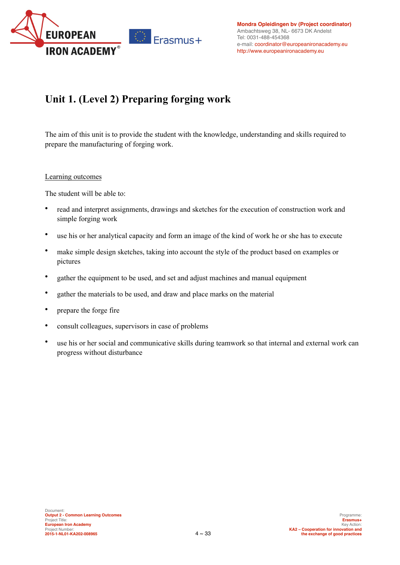

## **Unit 1. (Level 2) Preparing forging work**

The aim of this unit is to provide the student with the knowledge, understanding and skills required to prepare the manufacturing of forging work.

### Learning outcomes

- read and interpret assignments, drawings and sketches for the execution of construction work and simple forging work
- use his or her analytical capacity and form an image of the kind of work he or she has to execute
- make simple design sketches, taking into account the style of the product based on examples or pictures
- gather the equipment to be used, and set and adjust machines and manual equipment
- gather the materials to be used, and draw and place marks on the material
- prepare the forge fire
- consult colleagues, supervisors in case of problems
- use his or her social and communicative skills during teamwork so that internal and external work can progress without disturbance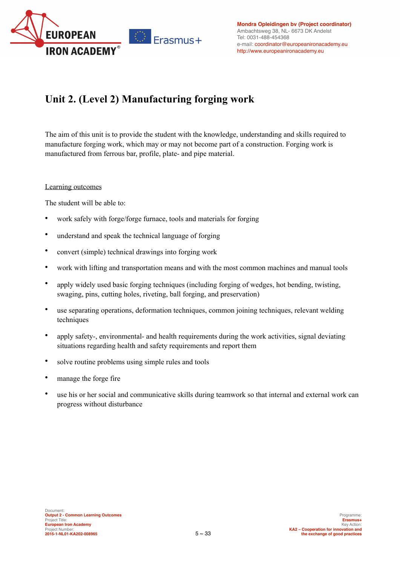

## **Unit 2. (Level 2) Manufacturing forging work**

The aim of this unit is to provide the student with the knowledge, understanding and skills required to manufacture forging work, which may or may not become part of a construction. Forging work is manufactured from ferrous bar, profile, plate- and pipe material.

### Learning outcomes

- work safely with forge/forge furnace, tools and materials for forging
- understand and speak the technical language of forging
- convert (simple) technical drawings into forging work
- work with lifting and transportation means and with the most common machines and manual tools
- apply widely used basic forging techniques (including forging of wedges, hot bending, twisting, swaging, pins, cutting holes, riveting, ball forging, and preservation)
- use separating operations, deformation techniques, common joining techniques, relevant welding techniques
- apply safety-, environmental- and health requirements during the work activities, signal deviating situations regarding health and safety requirements and report them
- solve routine problems using simple rules and tools
- manage the forge fire
- use his or her social and communicative skills during teamwork so that internal and external work can progress without disturbance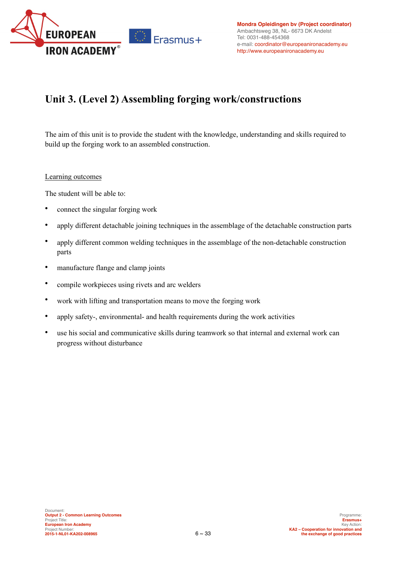

## **Unit 3. (Level 2) Assembling forging work/constructions**

The aim of this unit is to provide the student with the knowledge, understanding and skills required to build up the forging work to an assembled construction.

### Learning outcomes

- connect the singular forging work
- apply different detachable joining techniques in the assemblage of the detachable construction parts
- apply different common welding techniques in the assemblage of the non-detachable construction parts
- manufacture flange and clamp joints
- compile workpieces using rivets and arc welders
- work with lifting and transportation means to move the forging work
- apply safety-, environmental- and health requirements during the work activities
- use his social and communicative skills during teamwork so that internal and external work can progress without disturbance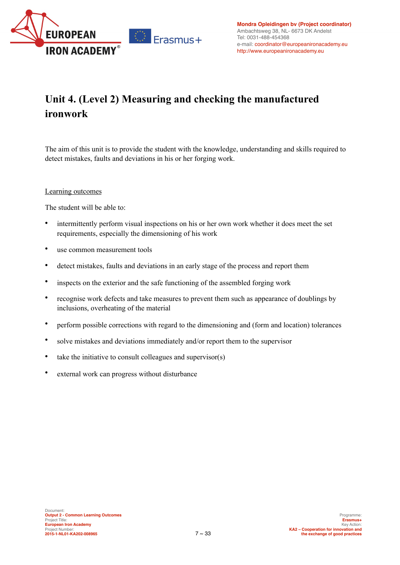

## **Unit 4. (Level 2) Measuring and checking the manufactured ironwork**

The aim of this unit is to provide the student with the knowledge, understanding and skills required to detect mistakes, faults and deviations in his or her forging work.

### Learning outcomes

- intermittently perform visual inspections on his or her own work whether it does meet the set requirements, especially the dimensioning of his work
- use common measurement tools
- detect mistakes, faults and deviations in an early stage of the process and report them
- inspects on the exterior and the safe functioning of the assembled forging work
- recognise work defects and take measures to prevent them such as appearance of doublings by inclusions, overheating of the material
- perform possible corrections with regard to the dimensioning and (form and location) tolerances
- solve mistakes and deviations immediately and/or report them to the supervisor
- take the initiative to consult colleagues and supervisor(s)
- external work can progress without disturbance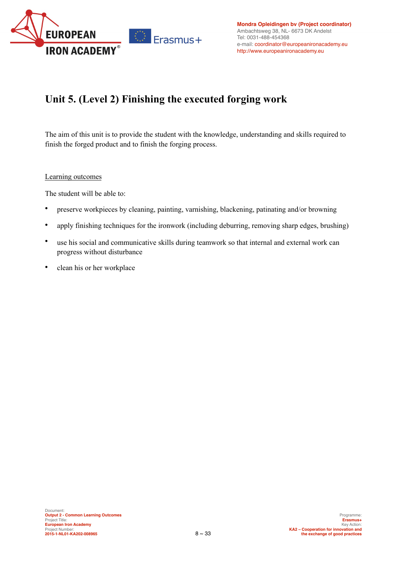

## **Unit 5. (Level 2) Finishing the executed forging work**

The aim of this unit is to provide the student with the knowledge, understanding and skills required to finish the forged product and to finish the forging process.

### Learning outcomes

- preserve workpieces by cleaning, painting, varnishing, blackening, patinating and/or browning
- apply finishing techniques for the ironwork (including deburring, removing sharp edges, brushing)
- use his social and communicative skills during teamwork so that internal and external work can progress without disturbance
- clean his or her workplace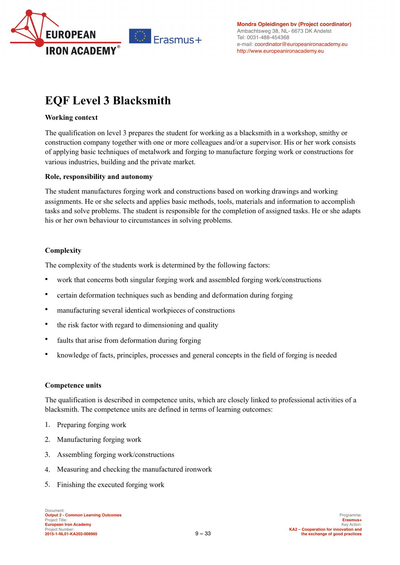

## **EQF Level 3 Blacksmith**

### **Working context**

The qualification on level 3 prepares the student for working as a blacksmith in a workshop, smithy or construction company together with one or more colleagues and/or a supervisor. His or her work consists of applying basic techniques of metalwork and forging to manufacture forging work or constructions for various industries, building and the private market.

### **Role, responsibility and autonomy**

The student manufactures forging work and constructions based on working drawings and working assignments. He or she selects and applies basic methods, tools, materials and information to accomplish tasks and solve problems. The student is responsible for the completion of assigned tasks. He or she adapts his or her own behaviour to circumstances in solving problems.

### **Complexity**

The complexity of the students work is determined by the following factors:

- work that concerns both singular forging work and assembled forging work/constructions
- certain deformation techniques such as bending and deformation during forging
- manufacturing several identical workpieces of constructions
- the risk factor with regard to dimensioning and quality
- faults that arise from deformation during forging
- knowledge of facts, principles, processes and general concepts in the field of forging is needed

### **Competence units**

The qualification is described in competence units, which are closely linked to professional activities of a blacksmith. The competence units are defined in terms of learning outcomes:

- 1. Preparing forging work
- 2. Manufacturing forging work
- 3. Assembling forging work/constructions
- 4. Measuring and checking the manufactured ironwork
- 5. Finishing the executed forging work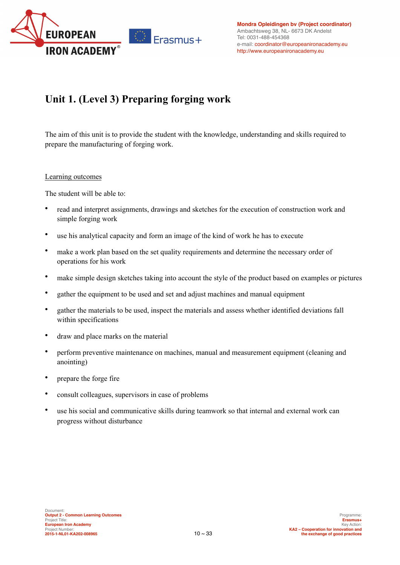

## **Unit 1. (Level 3) Preparing forging work**

The aim of this unit is to provide the student with the knowledge, understanding and skills required to prepare the manufacturing of forging work.

### Learning outcomes

- read and interpret assignments, drawings and sketches for the execution of construction work and simple forging work
- use his analytical capacity and form an image of the kind of work he has to execute
- make a work plan based on the set quality requirements and determine the necessary order of operations for his work
- make simple design sketches taking into account the style of the product based on examples or pictures
- gather the equipment to be used and set and adjust machines and manual equipment
- gather the materials to be used, inspect the materials and assess whether identified deviations fall within specifications
- draw and place marks on the material
- perform preventive maintenance on machines, manual and measurement equipment (cleaning and anointing)
- prepare the forge fire
- consult colleagues, supervisors in case of problems
- use his social and communicative skills during teamwork so that internal and external work can progress without disturbance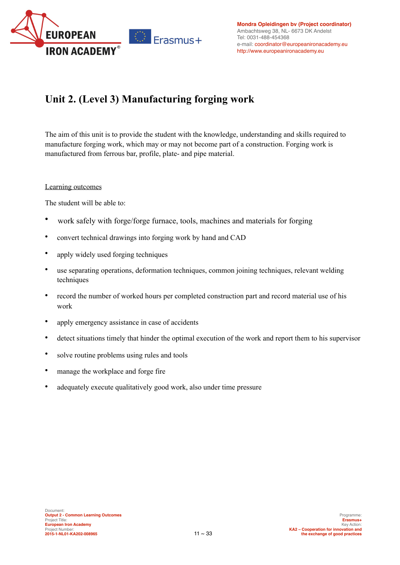

## **Unit 2. (Level 3) Manufacturing forging work**

The aim of this unit is to provide the student with the knowledge, understanding and skills required to manufacture forging work, which may or may not become part of a construction. Forging work is manufactured from ferrous bar, profile, plate- and pipe material.

### Learning outcomes

- work safely with forge/forge furnace, tools, machines and materials for forging
- convert technical drawings into forging work by hand and CAD
- apply widely used forging techniques
- use separating operations, deformation techniques, common joining techniques, relevant welding techniques
- record the number of worked hours per completed construction part and record material use of his work
- apply emergency assistance in case of accidents
- detect situations timely that hinder the optimal execution of the work and report them to his supervisor
- solve routine problems using rules and tools
- manage the workplace and forge fire
- adequately execute qualitatively good work, also under time pressure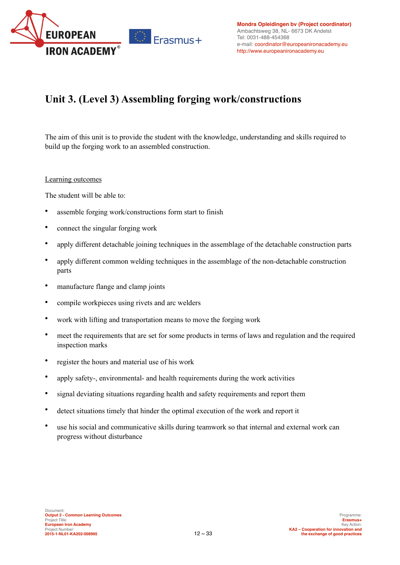

### **Unit 3. (Level 3) Assembling forging work/constructions**

The aim of this unit is to provide the student with the knowledge, understanding and skills required to build up the forging work to an assembled construction.

### Learning outcomes

- assemble forging work/constructions form start to finish
- connect the singular forging work
- apply different detachable joining techniques in the assemblage of the detachable construction parts
- apply different common welding techniques in the assemblage of the non-detachable construction parts
- manufacture flange and clamp joints
- compile workpieces using rivets and arc welders
- work with lifting and transportation means to move the forging work
- meet the requirements that are set for some products in terms of laws and regulation and the required inspection marks
- register the hours and material use of his work
- apply safety-, environmental- and health requirements during the work activities
- signal deviating situations regarding health and safety requirements and report them
- detect situations timely that hinder the optimal execution of the work and report it
- use his social and communicative skills during teamwork so that internal and external work can progress without disturbance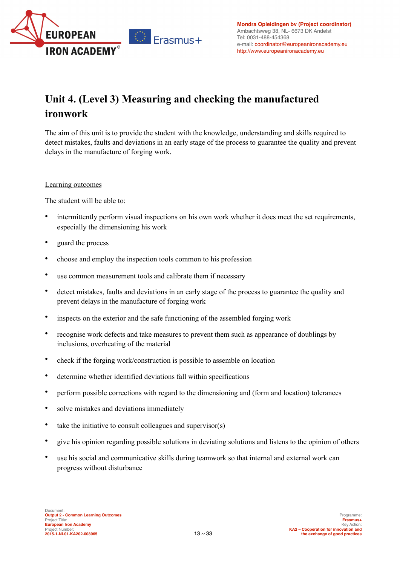

## **Unit 4. (Level 3) Measuring and checking the manufactured ironwork**

The aim of this unit is to provide the student with the knowledge, understanding and skills required to detect mistakes, faults and deviations in an early stage of the process to guarantee the quality and prevent delays in the manufacture of forging work.

### Learning outcomes

- intermittently perform visual inspections on his own work whether it does meet the set requirements, especially the dimensioning his work
- guard the process
- choose and employ the inspection tools common to his profession
- use common measurement tools and calibrate them if necessary
- detect mistakes, faults and deviations in an early stage of the process to guarantee the quality and prevent delays in the manufacture of forging work
- inspects on the exterior and the safe functioning of the assembled forging work
- recognise work defects and take measures to prevent them such as appearance of doublings by inclusions, overheating of the material
- check if the forging work/construction is possible to assemble on location
- determine whether identified deviations fall within specifications
- perform possible corrections with regard to the dimensioning and (form and location) tolerances
- solve mistakes and deviations immediately
- take the initiative to consult colleagues and supervisor(s)
- give his opinion regarding possible solutions in deviating solutions and listens to the opinion of others
- use his social and communicative skills during teamwork so that internal and external work can progress without disturbance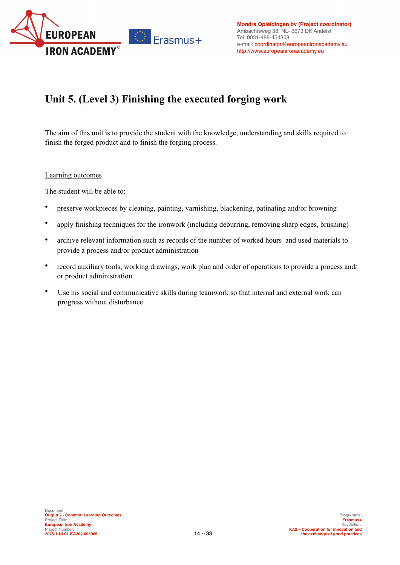

## **Unit 5. (Level 3) Finishing the executed forging work**

The aim of this unit is to provide the student with the knowledge, understanding and skills required to finish the forged product and to finish the forging process.

### Learning outcomes

- preserve workpieces by cleaning, painting, varnishing, blackening, patinating and/or browning
- apply finishing techniques for the ironwork (including deburring, removing sharp edges, brushing)
- archive relevant information such as records of the number of worked hours and used materials to provide a process and/or product administration
- record auxiliary tools, working drawings, work plan and order of operations to provide a process and/ or product administration
- Use his social and communicative skills during teamwork so that internal and external work can progress without disturbance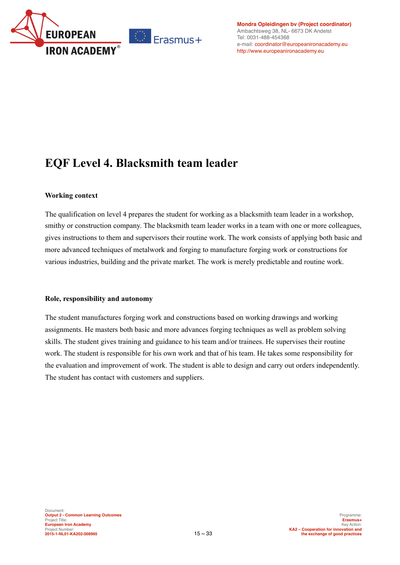

**[Mondra Opleidingen bv](http://europeanironacademy.eu/portfolio-item/mondra/) (Project coordinator)** Ambachtsweg 38, NL- 6673 DK Andelst Tel: 0031-488-454368 e-mail: [coordinator@europeanironacademy.eu](mailto:coordinator@europeanironacademy.eu) <http://www.europeanironacademy.eu>

## **EQF Level 4. Blacksmith team leader**

### **Working context**

The qualification on level 4 prepares the student for working as a blacksmith team leader in a workshop, smithy or construction company. The blacksmith team leader works in a team with one or more colleagues, gives instructions to them and supervisors their routine work. The work consists of applying both basic and more advanced techniques of metalwork and forging to manufacture forging work or constructions for various industries, building and the private market. The work is merely predictable and routine work.

### **Role, responsibility and autonomy**

The student manufactures forging work and constructions based on working drawings and working assignments. He masters both basic and more advances forging techniques as well as problem solving skills. The student gives training and guidance to his team and/or trainees. He supervises their routine work. The student is responsible for his own work and that of his team. He takes some responsibility for the evaluation and improvement of work. The student is able to design and carry out orders independently. The student has contact with customers and suppliers.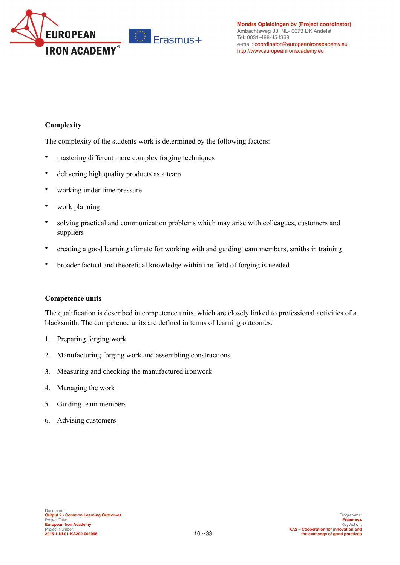

### **Complexity**

The complexity of the students work is determined by the following factors:

- mastering different more complex forging techniques
- delivering high quality products as a team
- working under time pressure
- work planning
- solving practical and communication problems which may arise with colleagues, customers and suppliers
- creating a good learning climate for working with and guiding team members, smiths in training
- broader factual and theoretical knowledge within the field of forging is needed

### **Competence units**

The qualification is described in competence units, which are closely linked to professional activities of a blacksmith. The competence units are defined in terms of learning outcomes:

- 1. Preparing forging work
- 2. Manufacturing forging work and assembling constructions
- 3. Measuring and checking the manufactured ironwork
- 4. Managing the work
- 5. Guiding team members
- 6. Advising customers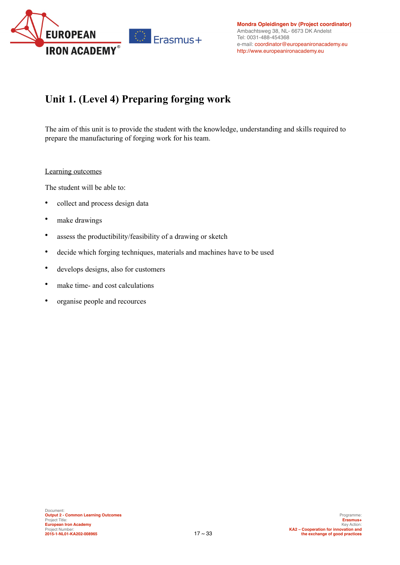

## **Unit 1. (Level 4) Preparing forging work**

The aim of this unit is to provide the student with the knowledge, understanding and skills required to prepare the manufacturing of forging work for his team.

### Learning outcomes

- collect and process design data
- make drawings
- assess the productibility/feasibility of a drawing or sketch
- decide which forging techniques, materials and machines have to be used
- develops designs, also for customers
- make time- and cost calculations
- organise people and recources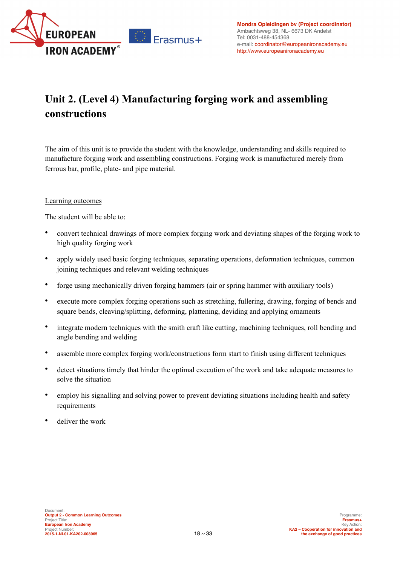

## **Unit 2. (Level 4) Manufacturing forging work and assembling constructions**

The aim of this unit is to provide the student with the knowledge, understanding and skills required to manufacture forging work and assembling constructions. Forging work is manufactured merely from ferrous bar, profile, plate- and pipe material.

### Learning outcomes

- convert technical drawings of more complex forging work and deviating shapes of the forging work to high quality forging work
- apply widely used basic forging techniques, separating operations, deformation techniques, common joining techniques and relevant welding techniques
- forge using mechanically driven forging hammers (air or spring hammer with auxiliary tools)
- execute more complex forging operations such as stretching, fullering, drawing, forging of bends and square bends, cleaving/splitting, deforming, plattening, deviding and applying ornaments
- integrate modern techniques with the smith craft like cutting, machining techniques, roll bending and angle bending and welding
- assemble more complex forging work/constructions form start to finish using different techniques
- detect situations timely that hinder the optimal execution of the work and take adequate measures to solve the situation
- employ his signalling and solving power to prevent deviating situations including health and safety requirements
- deliver the work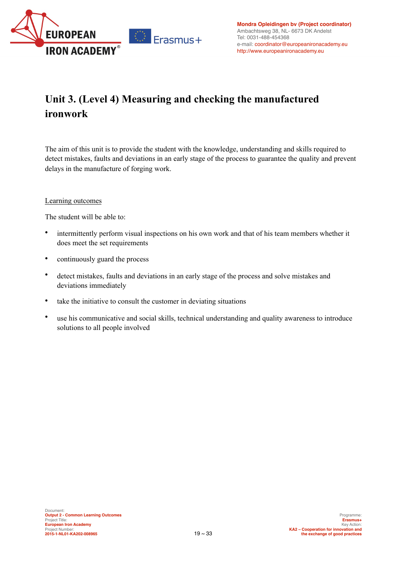

## **Unit 3. (Level 4) Measuring and checking the manufactured ironwork**

The aim of this unit is to provide the student with the knowledge, understanding and skills required to detect mistakes, faults and deviations in an early stage of the process to guarantee the quality and prevent delays in the manufacture of forging work.

### Learning outcomes

- intermittently perform visual inspections on his own work and that of his team members whether it does meet the set requirements
- continuously guard the process
- detect mistakes, faults and deviations in an early stage of the process and solve mistakes and deviations immediately
- take the initiative to consult the customer in deviating situations
- use his communicative and social skills, technical understanding and quality awareness to introduce solutions to all people involved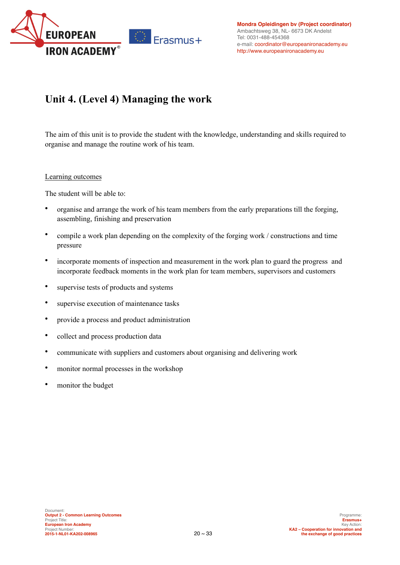

### **Unit 4. (Level 4) Managing the work**

The aim of this unit is to provide the student with the knowledge, understanding and skills required to organise and manage the routine work of his team.

### Learning outcomes

- organise and arrange the work of his team members from the early preparations till the forging, assembling, finishing and preservation
- compile a work plan depending on the complexity of the forging work / constructions and time pressure
- incorporate moments of inspection and measurement in the work plan to guard the progress and incorporate feedback moments in the work plan for team members, supervisors and customers
- supervise tests of products and systems
- supervise execution of maintenance tasks
- provide a process and product administration
- collect and process production data
- communicate with suppliers and customers about organising and delivering work
- monitor normal processes in the workshop
- monitor the budget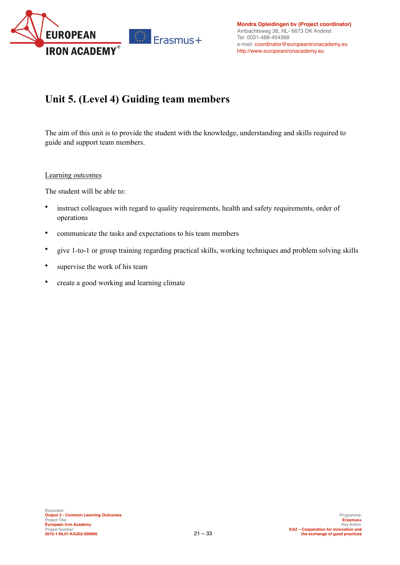

## **Unit 5. (Level 4) Guiding team members**

The aim of this unit is to provide the student with the knowledge, understanding and skills required to guide and support team members.

### Learning outcomes

- instruct colleagues with regard to quality requirements, health and safety requirements, order of operations
- communicate the tasks and expectations to his team members
- give 1-to-1 or group training regarding practical skills, working techniques and problem solving skills
- supervise the work of his team
- create a good working and learning climate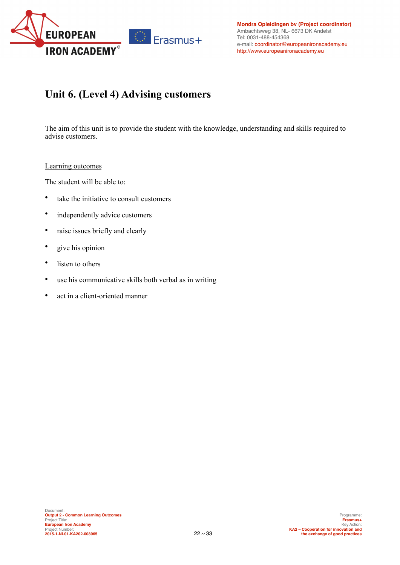

### **Unit 6. (Level 4) Advising customers**

The aim of this unit is to provide the student with the knowledge, understanding and skills required to advise customers.

#### Learning outcomes

- take the initiative to consult customers
- independently advice customers
- raise issues briefly and clearly
- give his opinion
- listen to others
- use his communicative skills both verbal as in writing
- act in a client-oriented manner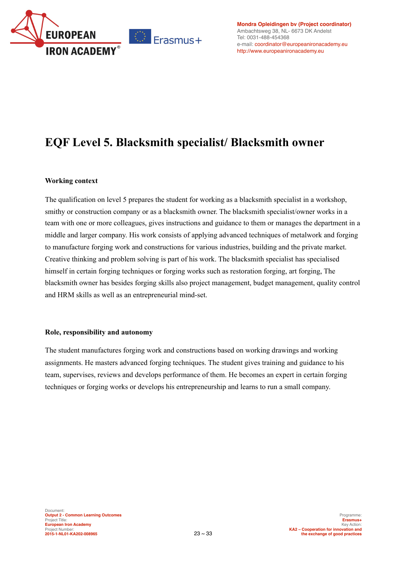

**[Mondra Opleidingen bv](http://europeanironacademy.eu/portfolio-item/mondra/) (Project coordinator)** Ambachtsweg 38, NL- 6673 DK Andelst Tel: 0031-488-454368 e-mail: [coordinator@europeanironacademy.eu](mailto:coordinator@europeanironacademy.eu) <http://www.europeanironacademy.eu>

## **EQF Level 5. Blacksmith specialist/ Blacksmith owner**

### **Working context**

The qualification on level 5 prepares the student for working as a blacksmith specialist in a workshop, smithy or construction company or as a blacksmith owner. The blacksmith specialist/owner works in a team with one or more colleagues, gives instructions and guidance to them or manages the department in a middle and larger company. His work consists of applying advanced techniques of metalwork and forging to manufacture forging work and constructions for various industries, building and the private market. Creative thinking and problem solving is part of his work. The blacksmith specialist has specialised himself in certain forging techniques or forging works such as restoration forging, art forging, The blacksmith owner has besides forging skills also project management, budget management, quality control and HRM skills as well as an entrepreneurial mind-set.

### **Role, responsibility and autonomy**

The student manufactures forging work and constructions based on working drawings and working assignments. He masters advanced forging techniques. The student gives training and guidance to his team, supervises, reviews and develops performance of them. He becomes an expert in certain forging techniques or forging works or develops his entrepreneurship and learns to run a small company.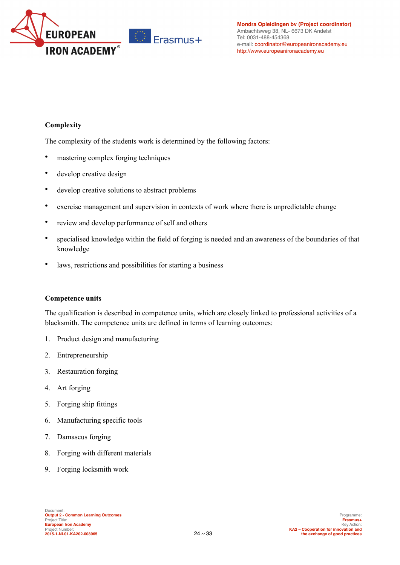

### **Complexity**

The complexity of the students work is determined by the following factors:

- mastering complex forging techniques
- develop creative design
- develop creative solutions to abstract problems
- exercise management and supervision in contexts of work where there is unpredictable change
- review and develop performance of self and others
- specialised knowledge within the field of forging is needed and an awareness of the boundaries of that knowledge
- laws, restrictions and possibilities for starting a business

### **Competence units**

The qualification is described in competence units, which are closely linked to professional activities of a blacksmith. The competence units are defined in terms of learning outcomes:

- 1. Product design and manufacturing
- 2. Entrepreneurship
- 3. Restauration forging
- 4. Art forging
- 5. Forging ship fittings
- 6. Manufacturing specific tools
- 7. Damascus forging
- 8. Forging with different materials
- 9. Forging locksmith work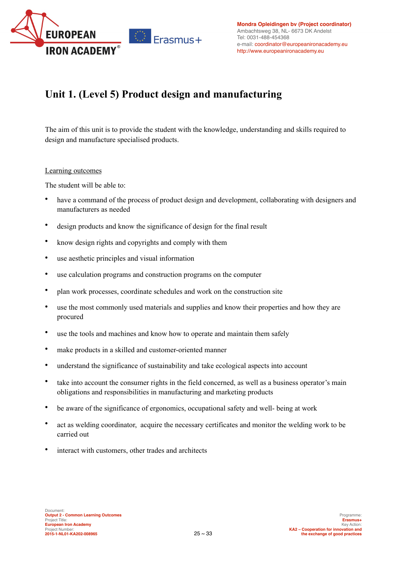

## **Unit 1. (Level 5) Product design and manufacturing**

The aim of this unit is to provide the student with the knowledge, understanding and skills required to design and manufacture specialised products.

### Learning outcomes

- have a command of the process of product design and development, collaborating with designers and manufacturers as needed
- design products and know the significance of design for the final result
- know design rights and copyrights and comply with them
- use aesthetic principles and visual information
- use calculation programs and construction programs on the computer
- plan work processes, coordinate schedules and work on the construction site
- use the most commonly used materials and supplies and know their properties and how they are procured
- use the tools and machines and know how to operate and maintain them safely
- make products in a skilled and customer-oriented manner
- understand the significance of sustainability and take ecological aspects into account
- take into account the consumer rights in the field concerned, as well as a business operator's main obligations and responsibilities in manufacturing and marketing products
- be aware of the significance of ergonomics, occupational safety and well- being at work
- act as welding coordinator, acquire the necessary certificates and monitor the welding work to be carried out
- interact with customers, other trades and architects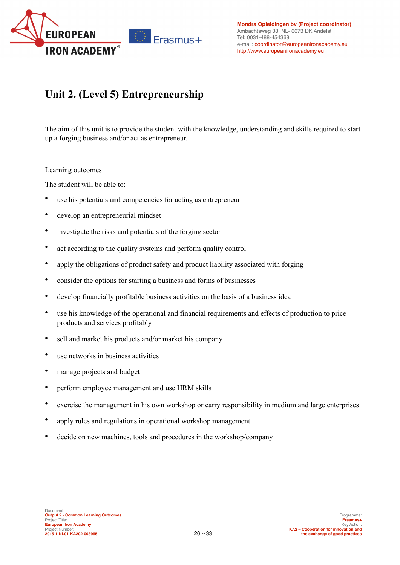

## **Unit 2. (Level 5) Entrepreneurship**

The aim of this unit is to provide the student with the knowledge, understanding and skills required to start up a forging business and/or act as entrepreneur.

### Learning outcomes

- use his potentials and competencies for acting as entrepreneur
- develop an entrepreneurial mindset
- investigate the risks and potentials of the forging sector
- act according to the quality systems and perform quality control
- apply the obligations of product safety and product liability associated with forging
- consider the options for starting a business and forms of businesses
- develop financially profitable business activities on the basis of a business idea
- use his knowledge of the operational and financial requirements and effects of production to price products and services profitably
- sell and market his products and/or market his company
- use networks in business activities
- manage projects and budget
- perform employee management and use HRM skills
- exercise the management in his own workshop or carry responsibility in medium and large enterprises
- apply rules and regulations in operational workshop management
- decide on new machines, tools and procedures in the workshop/company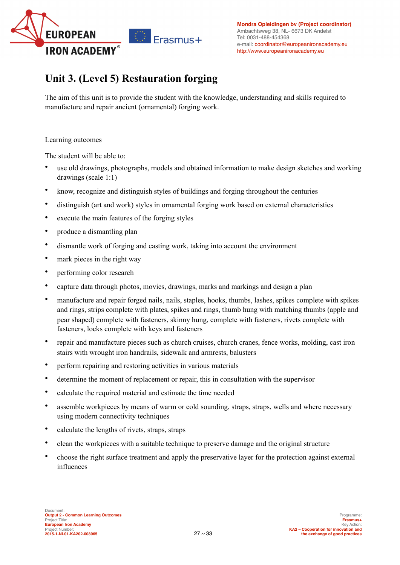

### **Unit 3. (Level 5) Restauration forging**

The aim of this unit is to provide the student with the knowledge, understanding and skills required to manufacture and repair ancient (ornamental) forging work.

### Learning outcomes

- use old drawings, photographs, models and obtained information to make design sketches and working drawings (scale 1:1)
- know, recognize and distinguish styles of buildings and forging throughout the centuries
- distinguish (art and work) styles in ornamental forging work based on external characteristics
- execute the main features of the forging styles
- produce a dismantling plan
- dismantle work of forging and casting work, taking into account the environment
- mark pieces in the right way
- performing color research
- capture data through photos, movies, drawings, marks and markings and design a plan
- manufacture and repair forged nails, nails, staples, hooks, thumbs, lashes, spikes complete with spikes and rings, strips complete with plates, spikes and rings, thumb hung with matching thumbs (apple and pear shaped) complete with fasteners, skinny hung, complete with fasteners, rivets complete with fasteners, locks complete with keys and fasteners
- repair and manufacture pieces such as church cruises, church cranes, fence works, molding, cast iron stairs with wrought iron handrails, sidewalk and armrests, balusters
- perform repairing and restoring activities in various materials
- determine the moment of replacement or repair, this in consultation with the supervisor
- calculate the required material and estimate the time needed
- assemble workpieces by means of warm or cold sounding, straps, straps, wells and where necessary using modern connectivity techniques
- calculate the lengths of rivets, straps, straps
- clean the workpieces with a suitable technique to preserve damage and the original structure
- choose the right surface treatment and apply the preservative layer for the protection against external influences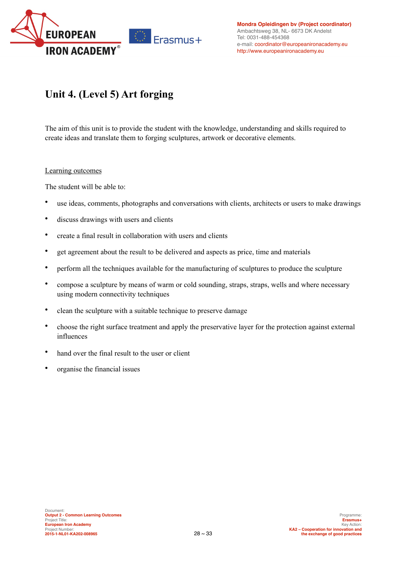

## **Unit 4. (Level 5) Art forging**

The aim of this unit is to provide the student with the knowledge, understanding and skills required to create ideas and translate them to forging sculptures, artwork or decorative elements.

#### Learning outcomes

- use ideas, comments, photographs and conversations with clients, architects or users to make drawings
- discuss drawings with users and clients
- create a final result in collaboration with users and clients
- get agreement about the result to be delivered and aspects as price, time and materials
- perform all the techniques available for the manufacturing of sculptures to produce the sculpture
- compose a sculpture by means of warm or cold sounding, straps, straps, wells and where necessary using modern connectivity techniques
- clean the sculpture with a suitable technique to preserve damage
- choose the right surface treatment and apply the preservative layer for the protection against external influences
- hand over the final result to the user or client
- organise the financial issues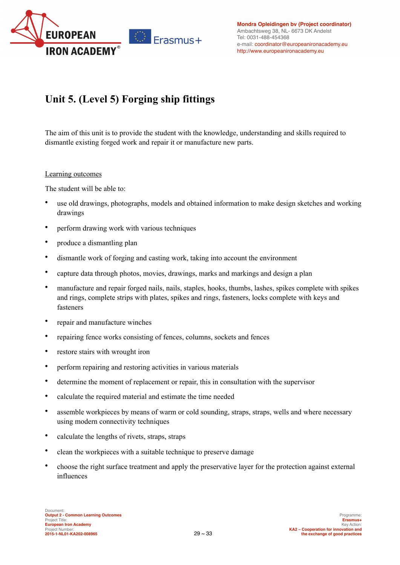

## **Unit 5. (Level 5) Forging ship fittings**

The aim of this unit is to provide the student with the knowledge, understanding and skills required to dismantle existing forged work and repair it or manufacture new parts.

### Learning outcomes

- use old drawings, photographs, models and obtained information to make design sketches and working drawings
- perform drawing work with various techniques
- produce a dismantling plan
- dismantle work of forging and casting work, taking into account the environment
- capture data through photos, movies, drawings, marks and markings and design a plan
- manufacture and repair forged nails, nails, staples, hooks, thumbs, lashes, spikes complete with spikes and rings, complete strips with plates, spikes and rings, fasteners, locks complete with keys and fasteners
- repair and manufacture winches
- repairing fence works consisting of fences, columns, sockets and fences
- restore stairs with wrought iron
- perform repairing and restoring activities in various materials
- determine the moment of replacement or repair, this in consultation with the supervisor
- calculate the required material and estimate the time needed
- assemble workpieces by means of warm or cold sounding, straps, straps, wells and where necessary using modern connectivity techniques
- calculate the lengths of rivets, straps, straps
- clean the workpieces with a suitable technique to preserve damage
- choose the right surface treatment and apply the preservative layer for the protection against external influences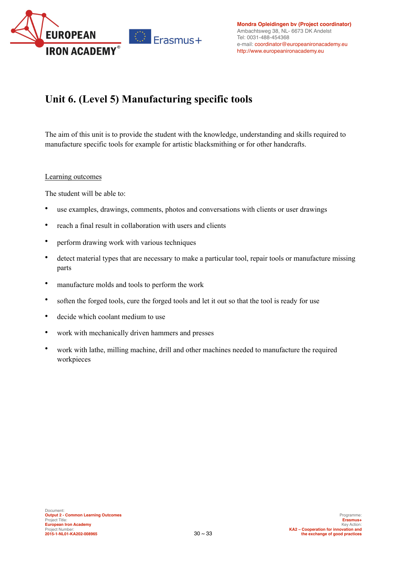

## **Unit 6. (Level 5) Manufacturing specific tools**

The aim of this unit is to provide the student with the knowledge, understanding and skills required to manufacture specific tools for example for artistic blacksmithing or for other handcrafts.

### Learning outcomes

- use examples, drawings, comments, photos and conversations with clients or user drawings
- reach a final result in collaboration with users and clients
- perform drawing work with various techniques
- detect material types that are necessary to make a particular tool, repair tools or manufacture missing parts
- manufacture molds and tools to perform the work
- soften the forged tools, cure the forged tools and let it out so that the tool is ready for use
- decide which coolant medium to use
- work with mechanically driven hammers and presses
- work with lathe, milling machine, drill and other machines needed to manufacture the required workpieces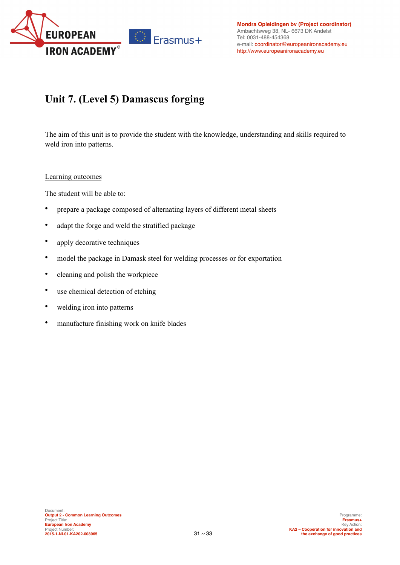

## **Unit 7. (Level 5) Damascus forging**

The aim of this unit is to provide the student with the knowledge, understanding and skills required to weld iron into patterns.

### Learning outcomes

- prepare a package composed of alternating layers of different metal sheets
- adapt the forge and weld the stratified package
- apply decorative techniques
- model the package in Damask steel for welding processes or for exportation
- cleaning and polish the workpiece
- use chemical detection of etching
- welding iron into patterns
- manufacture finishing work on knife blades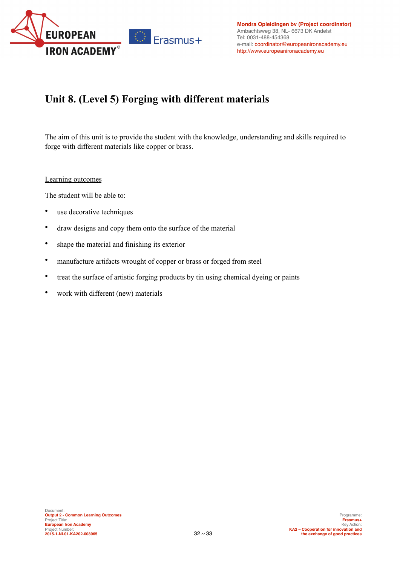

## **Unit 8. (Level 5) Forging with different materials**

The aim of this unit is to provide the student with the knowledge, understanding and skills required to forge with different materials like copper or brass.

### Learning outcomes

- use decorative techniques
- draw designs and copy them onto the surface of the material
- shape the material and finishing its exterior
- manufacture artifacts wrought of copper or brass or forged from steel
- treat the surface of artistic forging products by tin using chemical dyeing or paints
- work with different (new) materials